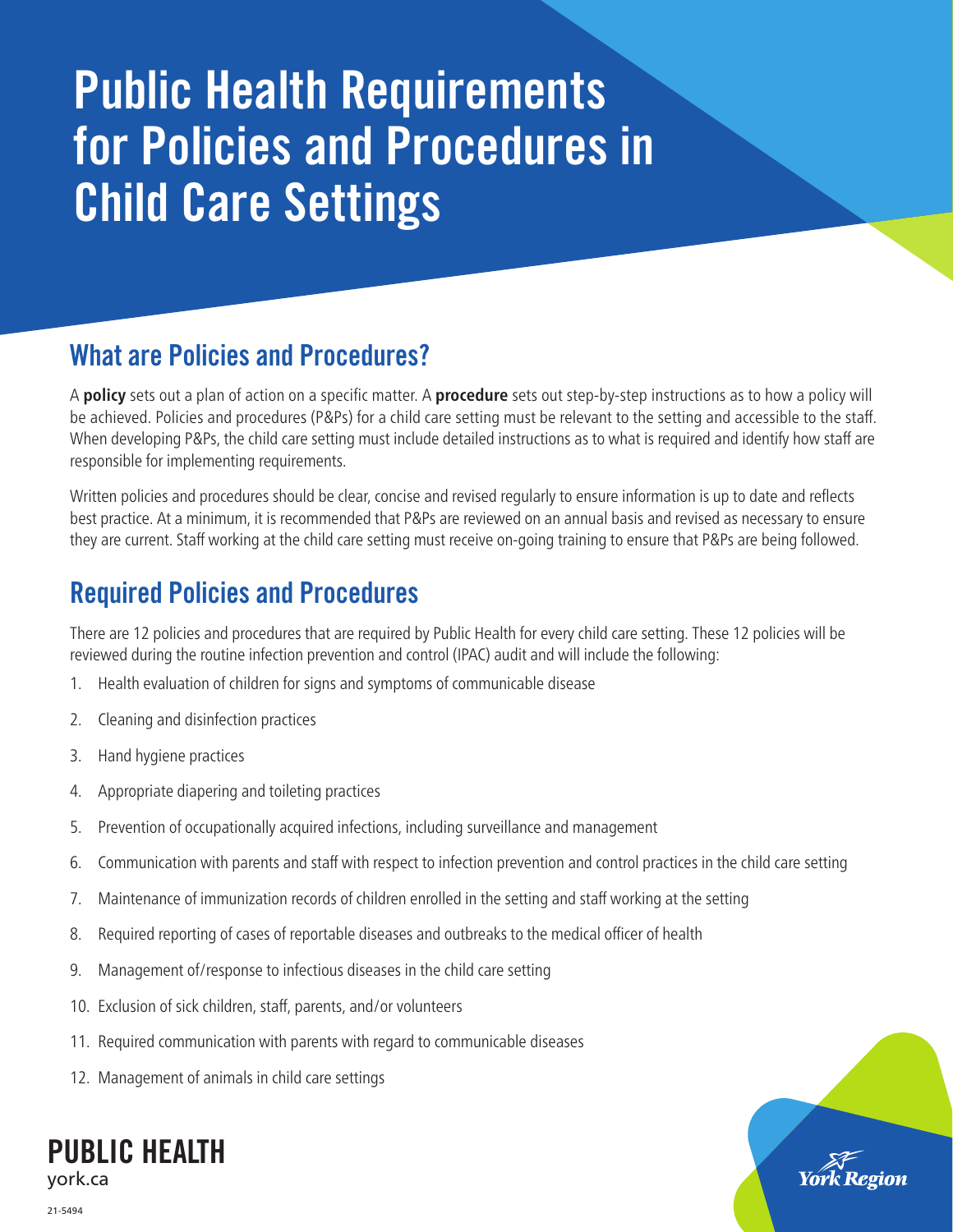# Public Health Requirements for Policies and Procedures in Child Care Settings

# What are Policies and Procedures?

A **policy** sets out a plan of action on a specific matter. A **procedure** sets out step-by-step instructions as to how a policy will be achieved. Policies and procedures (P&Ps) for a child care setting must be relevant to the setting and accessible to the staff. When developing P&Ps, the child care setting must include detailed instructions as to what is required and identify how staff are responsible for implementing requirements.

Written policies and procedures should be clear, concise and revised regularly to ensure information is up to date and reflects best practice. At a minimum, it is recommended that P&Ps are reviewed on an annual basis and revised as necessary to ensure they are current. Staff working at the child care setting must receive on-going training to ensure that P&Ps are being followed.

# Required Policies and Procedures

There are 12 policies and procedures that are required by Public Health for every child care setting. These 12 policies will be reviewed during the routine infection prevention and control (IPAC) audit and will include the following:

- 1. Health evaluation of children for signs and symptoms of communicable disease
- 2. Cleaning and disinfection practices
- 3. Hand hygiene practices
- 4. Appropriate diapering and toileting practices
- 5. Prevention of occupationally acquired infections, including surveillance and management
- 6. Communication with parents and staff with respect to infection prevention and control practices in the child care setting
- 7. Maintenance of immunization records of children enrolled in the setting and staff working at the setting
- 8. Required reporting of cases of reportable diseases and outbreaks to the medical officer of health
- 9. Management of/response to infectious diseases in the child care setting
- 10. Exclusion of sick children, staff, parents, and/or volunteers
- 11. Required communication with parents with regard to communicable diseases
- 12. Management of animals in child care settings



21-5494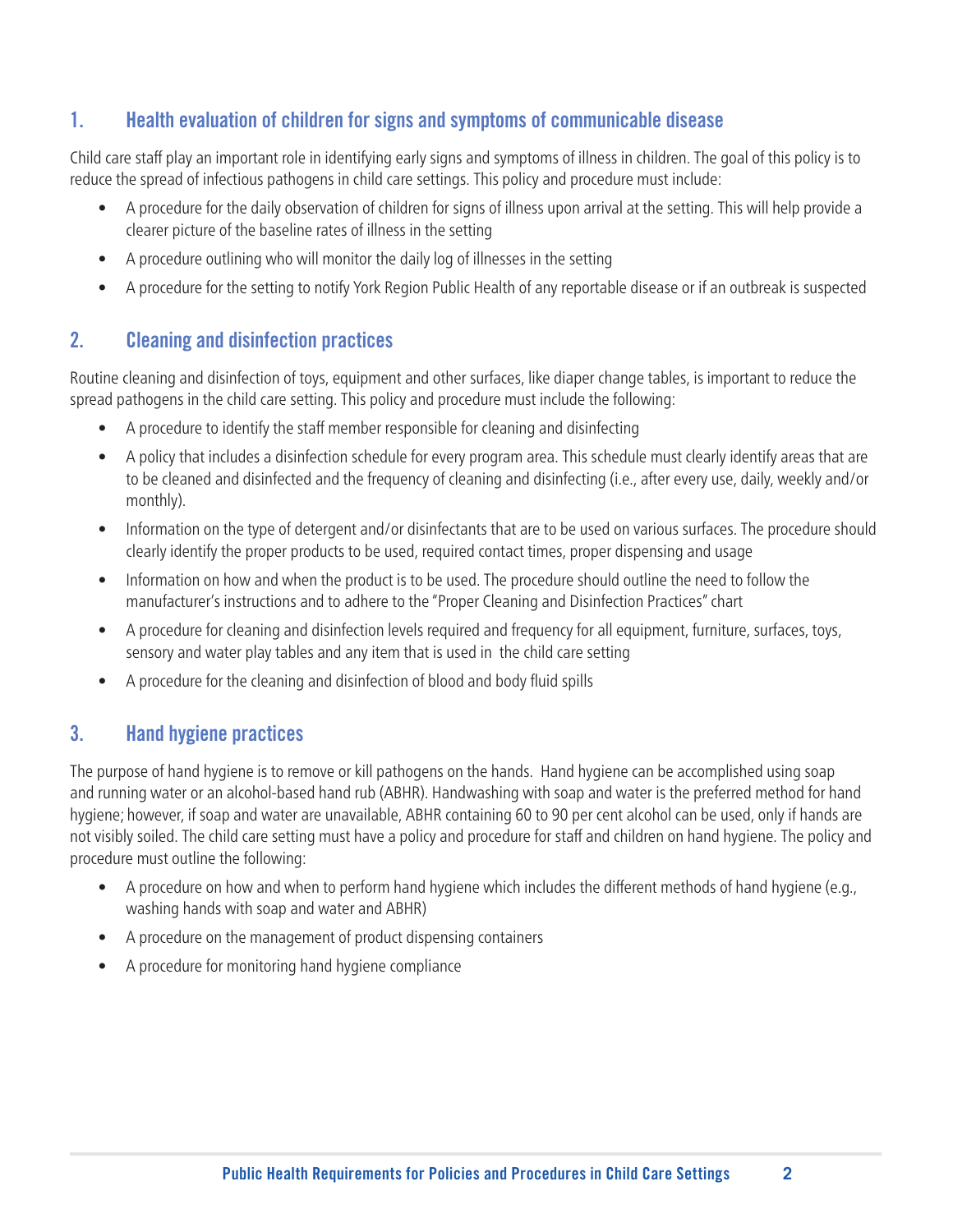#### 1. Health evaluation of children for signs and symptoms of communicable disease

Child care staff play an important role in identifying early signs and symptoms of illness in children. The goal of this policy is to reduce the spread of infectious pathogens in child care settings. This policy and procedure must include:

- A procedure for the daily observation of children for signs of illness upon arrival at the setting. This will help provide a clearer picture of the baseline rates of illness in the setting
- A procedure outlining who will monitor the daily log of illnesses in the setting
- A procedure for the setting to notify York Region Public Health of any reportable disease or if an outbreak is suspected

#### 2. Cleaning and disinfection practices

Routine cleaning and disinfection of toys, equipment and other surfaces, like diaper change tables, is important to reduce the spread pathogens in the child care setting. This policy and procedure must include the following:

- A procedure to identify the staff member responsible for cleaning and disinfecting
- A policy that includes a disinfection schedule for every program area. This schedule must clearly identify areas that are to be cleaned and disinfected and the frequency of cleaning and disinfecting (i.e., after every use, daily, weekly and/or monthly).
- Information on the type of detergent and/or disinfectants that are to be used on various surfaces. The procedure should clearly identify the proper products to be used, required contact times, proper dispensing and usage
- Information on how and when the product is to be used. The procedure should outline the need to follow the manufacturer's instructions and to adhere to the "Proper Cleaning and Disinfection Practices" chart
- A procedure for cleaning and disinfection levels required and frequency for all equipment, furniture, surfaces, toys, sensory and water play tables and any item that is used in the child care setting
- A procedure for the cleaning and disinfection of blood and body fluid spills

## 3. Hand hygiene practices

The purpose of hand hygiene is to remove or kill pathogens on the hands. Hand hygiene can be accomplished using soap and running water or an alcohol-based hand rub (ABHR). Handwashing with soap and water is the preferred method for hand hygiene; however, if soap and water are unavailable, ABHR containing 60 to 90 per cent alcohol can be used, only if hands are not visibly soiled. The child care setting must have a policy and procedure for staff and children on hand hygiene. The policy and procedure must outline the following:

- A procedure on how and when to perform hand hygiene which includes the different methods of hand hygiene (e.g., washing hands with soap and water and ABHR)
- A procedure on the management of product dispensing containers
- A procedure for monitoring hand hygiene compliance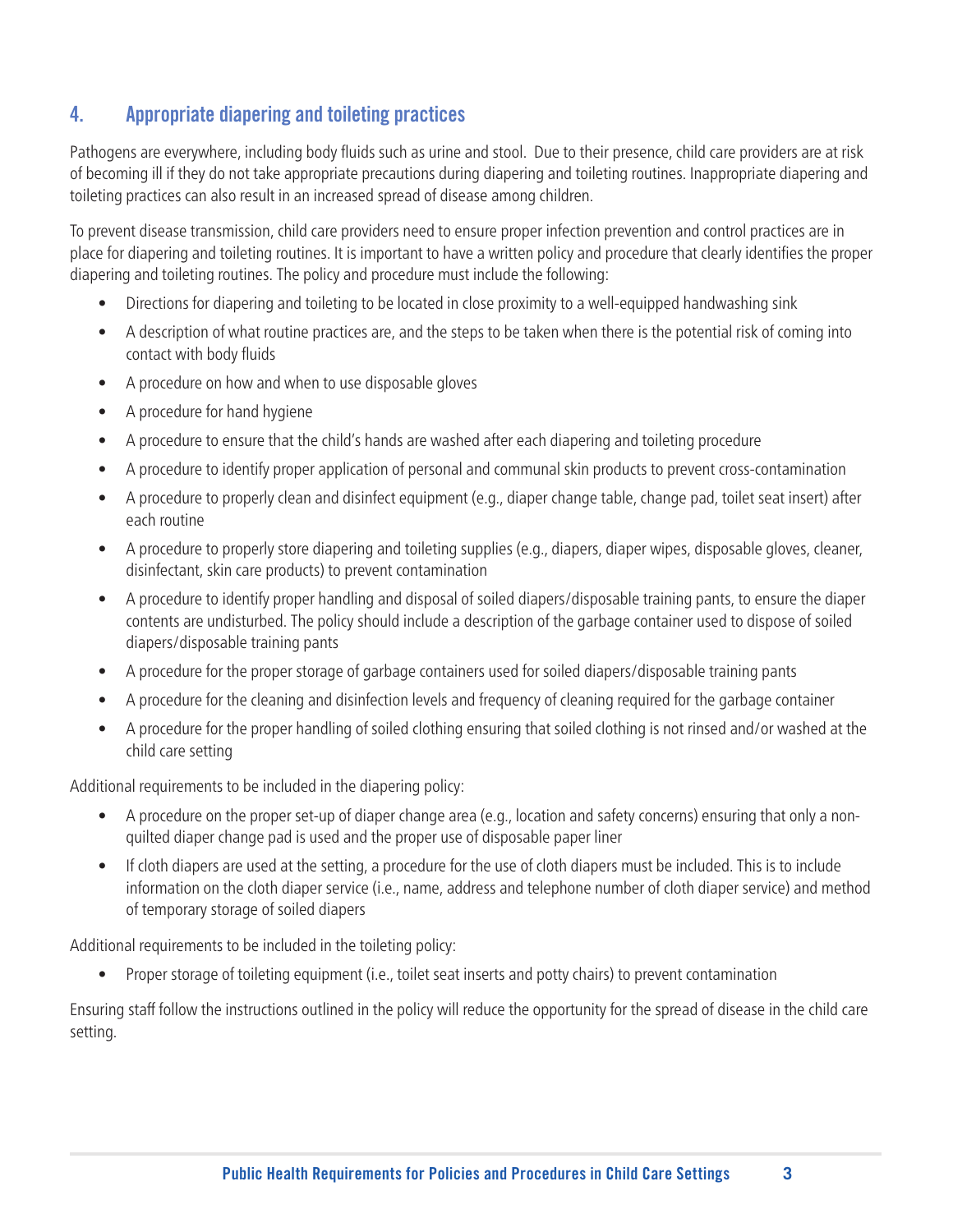## 4. Appropriate diapering and toileting practices

Pathogens are everywhere, including body fluids such as urine and stool. Due to their presence, child care providers are at risk of becoming ill if they do not take appropriate precautions during diapering and toileting routines. Inappropriate diapering and toileting practices can also result in an increased spread of disease among children.

To prevent disease transmission, child care providers need to ensure proper infection prevention and control practices are in place for diapering and toileting routines. It is important to have a written policy and procedure that clearly identifies the proper diapering and toileting routines. The policy and procedure must include the following:

- Directions for diapering and toileting to be located in close proximity to a well-equipped handwashing sink
- A description of what routine practices are, and the steps to be taken when there is the potential risk of coming into contact with body fluids
- A procedure on how and when to use disposable gloves
- A procedure for hand hygiene
- A procedure to ensure that the child's hands are washed after each diapering and toileting procedure
- A procedure to identify proper application of personal and communal skin products to prevent cross-contamination
- A procedure to properly clean and disinfect equipment (e.g., diaper change table, change pad, toilet seat insert) after each routine
- A procedure to properly store diapering and toileting supplies (e.g., diapers, diaper wipes, disposable gloves, cleaner, disinfectant, skin care products) to prevent contamination
- A procedure to identify proper handling and disposal of soiled diapers/disposable training pants, to ensure the diaper contents are undisturbed. The policy should include a description of the garbage container used to dispose of soiled diapers/disposable training pants
- A procedure for the proper storage of garbage containers used for soiled diapers/disposable training pants
- A procedure for the cleaning and disinfection levels and frequency of cleaning required for the garbage container
- A procedure for the proper handling of soiled clothing ensuring that soiled clothing is not rinsed and/or washed at the child care setting

Additional requirements to be included in the diapering policy:

- A procedure on the proper set-up of diaper change area (e.g., location and safety concerns) ensuring that only a nonquilted diaper change pad is used and the proper use of disposable paper liner
- If cloth diapers are used at the setting, a procedure for the use of cloth diapers must be included. This is to include information on the cloth diaper service (i.e., name, address and telephone number of cloth diaper service) and method of temporary storage of soiled diapers

Additional requirements to be included in the toileting policy:

• Proper storage of toileting equipment (i.e., toilet seat inserts and potty chairs) to prevent contamination

Ensuring staff follow the instructions outlined in the policy will reduce the opportunity for the spread of disease in the child care setting.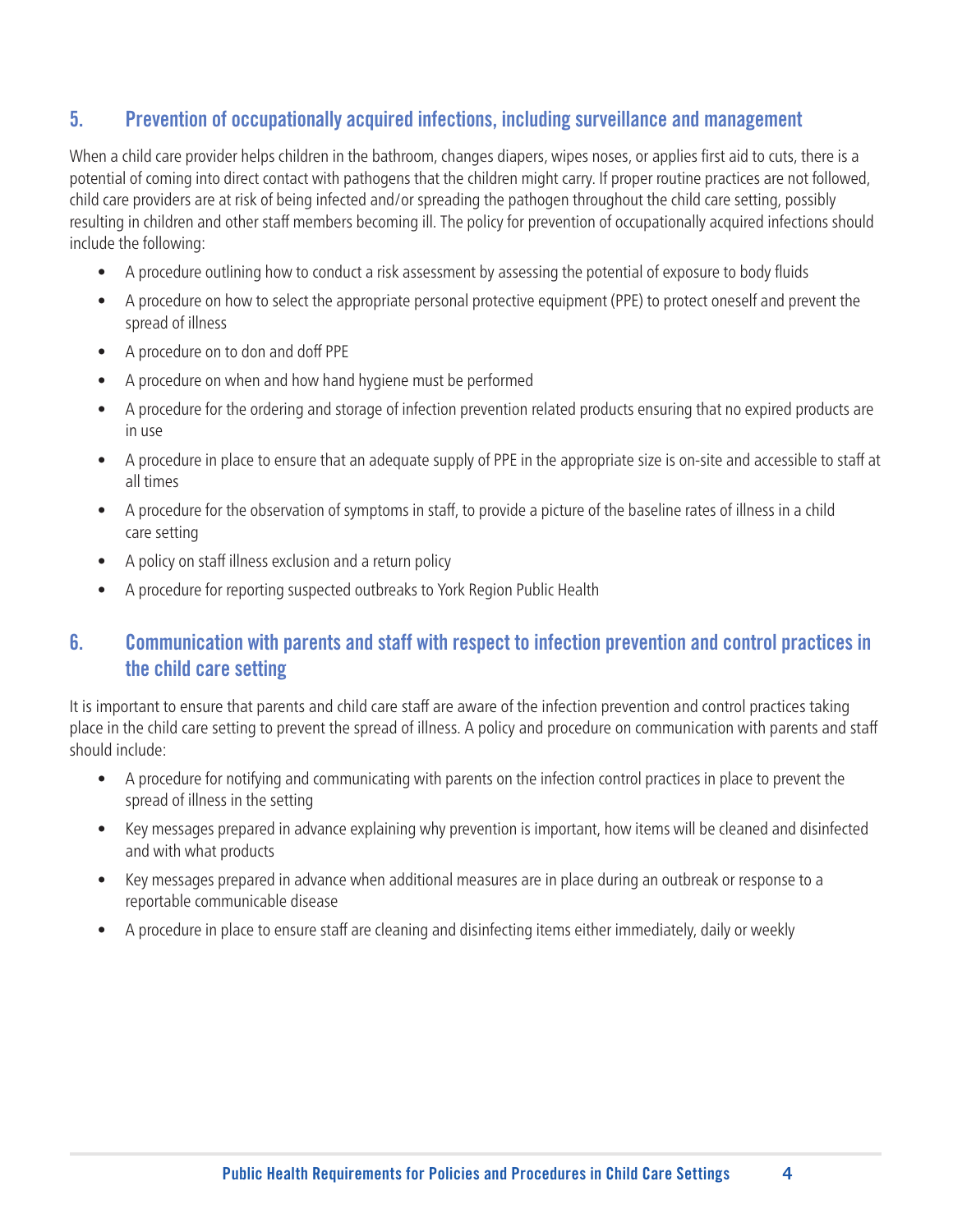#### 5. Prevention of occupationally acquired infections, including surveillance and management

When a child care provider helps children in the bathroom, changes diapers, wipes noses, or applies first aid to cuts, there is a potential of coming into direct contact with pathogens that the children might carry. If proper routine practices are not followed, child care providers are at risk of being infected and/or spreading the pathogen throughout the child care setting, possibly resulting in children and other staff members becoming ill. The policy for prevention of occupationally acquired infections should include the following:

- A procedure outlining how to conduct a risk assessment by assessing the potential of exposure to body fluids
- A procedure on how to select the appropriate personal protective equipment (PPE) to protect oneself and prevent the spread of illness
- A procedure on to don and doff PPE
- A procedure on when and how hand hygiene must be performed
- A procedure for the ordering and storage of infection prevention related products ensuring that no expired products are in use
- A procedure in place to ensure that an adequate supply of PPE in the appropriate size is on-site and accessible to staff at all times
- A procedure for the observation of symptoms in staff, to provide a picture of the baseline rates of illness in a child care setting
- A policy on staff illness exclusion and a return policy
- A procedure for reporting suspected outbreaks to York Region Public Health

#### 6. Communication with parents and staff with respect to infection prevention and control practices in the child care setting

It is important to ensure that parents and child care staff are aware of the infection prevention and control practices taking place in the child care setting to prevent the spread of illness. A policy and procedure on communication with parents and staff should include:

- A procedure for notifying and communicating with parents on the infection control practices in place to prevent the spread of illness in the setting
- Key messages prepared in advance explaining why prevention is important, how items will be cleaned and disinfected and with what products
- Key messages prepared in advance when additional measures are in place during an outbreak or response to a reportable communicable disease
- A procedure in place to ensure staff are cleaning and disinfecting items either immediately, daily or weekly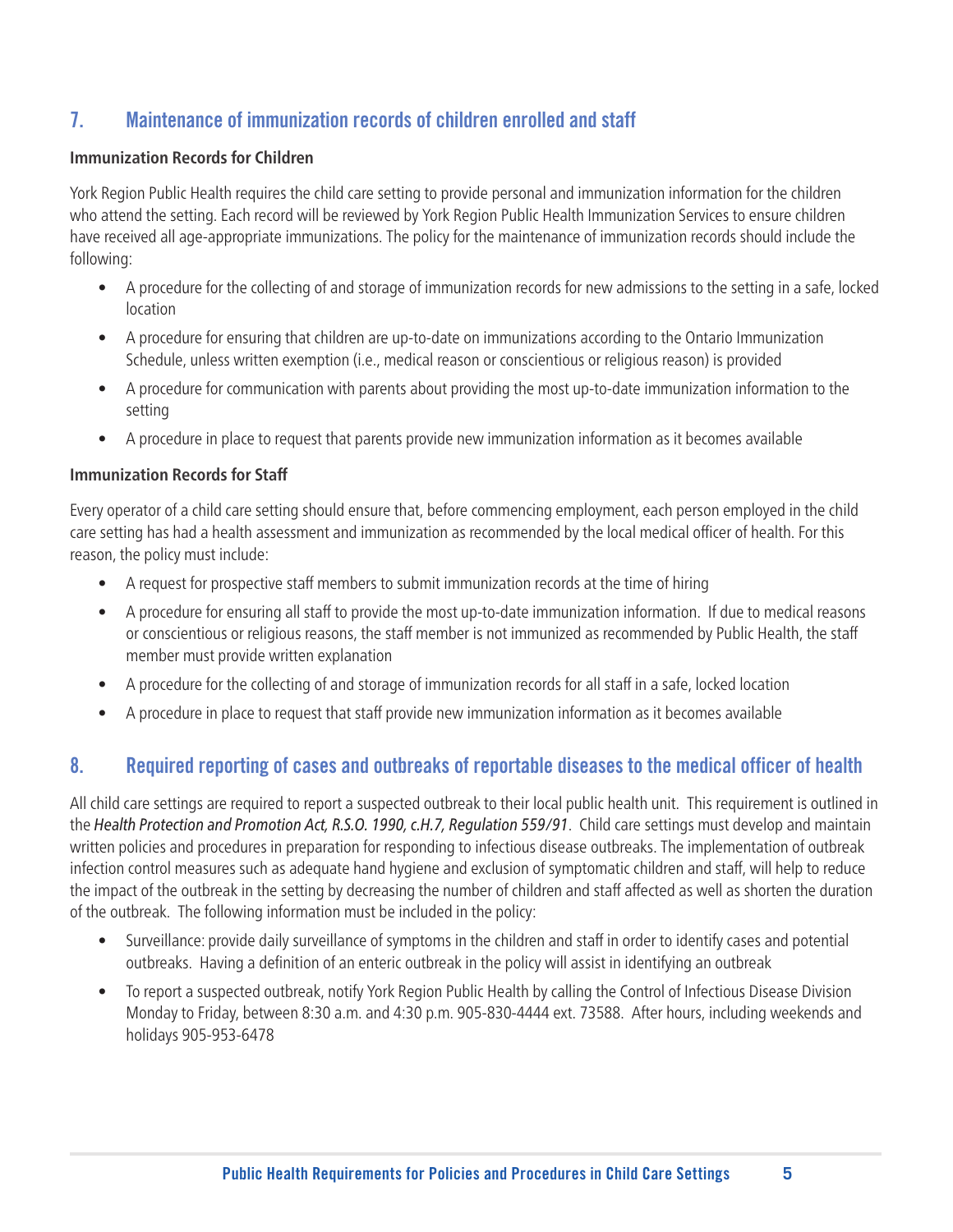## 7. Maintenance of immunization records of children enrolled and staff

#### **Immunization Records for Children**

York Region Public Health requires the child care setting to provide personal and immunization information for the children who attend the setting. Each record will be reviewed by York Region Public Health Immunization Services to ensure children have received all age-appropriate immunizations. The policy for the maintenance of immunization records should include the following:

- A procedure for the collecting of and storage of immunization records for new admissions to the setting in a safe, locked location
- A procedure for ensuring that children are up-to-date on immunizations according to the Ontario Immunization Schedule, unless written exemption (i.e., medical reason or conscientious or religious reason) is provided
- A procedure for communication with parents about providing the most up-to-date immunization information to the setting
- A procedure in place to request that parents provide new immunization information as it becomes available

#### **Immunization Records for Staff**

Every operator of a child care setting should ensure that, before commencing employment, each person employed in the child care setting has had a health assessment and immunization as recommended by the local medical officer of health. For this reason, the policy must include:

- A request for prospective staff members to submit immunization records at the time of hiring
- A procedure for ensuring all staff to provide the most up-to-date immunization information. If due to medical reasons or conscientious or religious reasons, the staff member is not immunized as recommended by Public Health, the staff member must provide written explanation
- A procedure for the collecting of and storage of immunization records for all staff in a safe, locked location
- A procedure in place to request that staff provide new immunization information as it becomes available

#### 8. Required reporting of cases and outbreaks of reportable diseases to the medical officer of health

All child care settings are required to report a suspected outbreak to their local public health unit. This requirement is outlined in the *Health Protection and Promotion Act, R.S.O. 1990, c.H.7, Regulation 559/91*. Child care settings must develop and maintain written policies and procedures in preparation for responding to infectious disease outbreaks. The implementation of outbreak infection control measures such as adequate hand hygiene and exclusion of symptomatic children and staff, will help to reduce the impact of the outbreak in the setting by decreasing the number of children and staff affected as well as shorten the duration of the outbreak. The following information must be included in the policy:

- Surveillance: provide daily surveillance of symptoms in the children and staff in order to identify cases and potential outbreaks. Having a definition of an enteric outbreak in the policy will assist in identifying an outbreak
- To report a suspected outbreak, notify York Region Public Health by calling the Control of Infectious Disease Division Monday to Friday, between 8:30 a.m. and 4:30 p.m. 905-830-4444 ext. 73588. After hours, including weekends and holidays 905-953-6478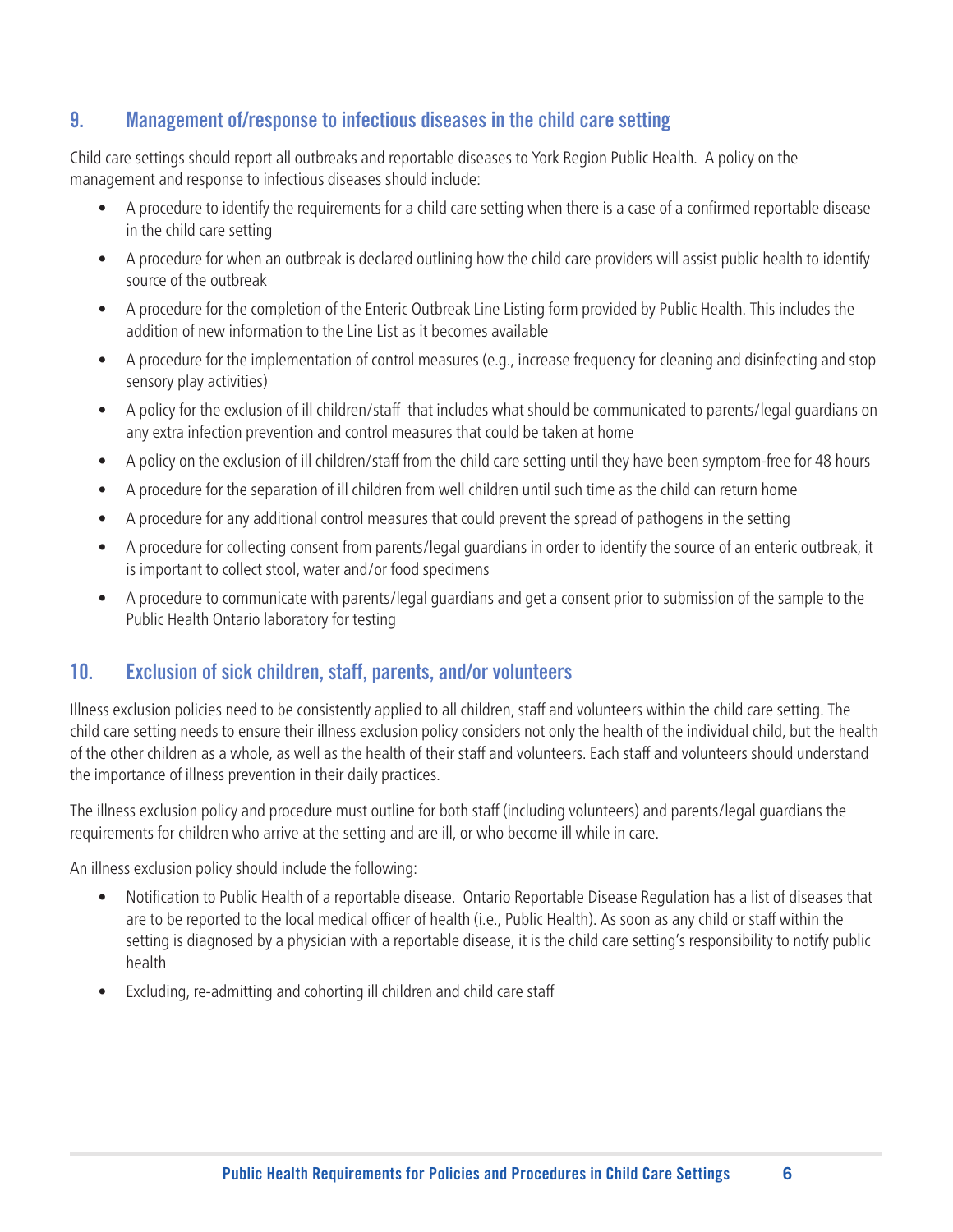#### 9. Management of/response to infectious diseases in the child care setting

Child care settings should report all outbreaks and reportable diseases to York Region Public Health. A policy on the management and response to infectious diseases should include:

- A procedure to identify the requirements for a child care setting when there is a case of a confirmed reportable disease in the child care setting
- A procedure for when an outbreak is declared outlining how the child care providers will assist public health to identify source of the outbreak
- A procedure for the completion of the Enteric Outbreak Line Listing form provided by Public Health. This includes the addition of new information to the Line List as it becomes available
- A procedure for the implementation of control measures (e.g., increase frequency for cleaning and disinfecting and stop sensory play activities)
- A policy for the exclusion of ill children/staff that includes what should be communicated to parents/legal guardians on any extra infection prevention and control measures that could be taken at home
- A policy on the exclusion of ill children/staff from the child care setting until they have been symptom-free for 48 hours
- A procedure for the separation of ill children from well children until such time as the child can return home
- A procedure for any additional control measures that could prevent the spread of pathogens in the setting
- A procedure for collecting consent from parents/legal guardians in order to identify the source of an enteric outbreak, it is important to collect stool, water and/or food specimens
- A procedure to communicate with parents/legal guardians and get a consent prior to submission of the sample to the Public Health Ontario laboratory for testing

#### 10. Exclusion of sick children, staff, parents, and/or volunteers

Illness exclusion policies need to be consistently applied to all children, staff and volunteers within the child care setting. The child care setting needs to ensure their illness exclusion policy considers not only the health of the individual child, but the health of the other children as a whole, as well as the health of their staff and volunteers. Each staff and volunteers should understand the importance of illness prevention in their daily practices.

The illness exclusion policy and procedure must outline for both staff (including volunteers) and parents/legal guardians the requirements for children who arrive at the setting and are ill, or who become ill while in care.

An illness exclusion policy should include the following:

- Notification to Public Health of a reportable disease. Ontario Reportable Disease Regulation has a list of diseases that are to be reported to the local medical officer of health (i.e., Public Health). As soon as any child or staff within the setting is diagnosed by a physician with a reportable disease, it is the child care setting's responsibility to notify public health
- Excluding, re-admitting and cohorting ill children and child care staff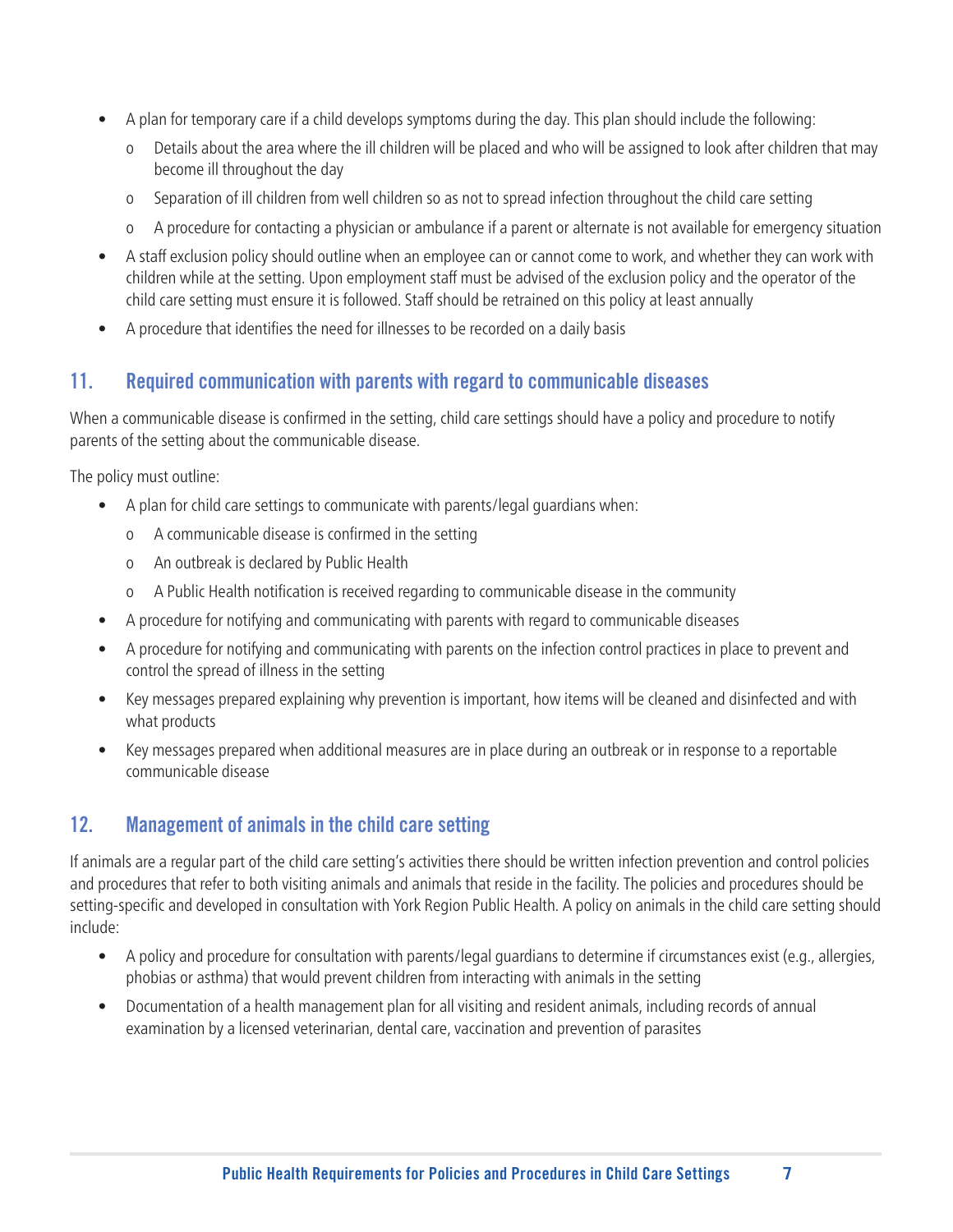- A plan for temporary care if a child develops symptoms during the day. This plan should include the following:
	- o Details about the area where the ill children will be placed and who will be assigned to look after children that may become ill throughout the day
	- o Separation of ill children from well children so as not to spread infection throughout the child care setting
	- o A procedure for contacting a physician or ambulance if a parent or alternate is not available for emergency situation
- A staff exclusion policy should outline when an employee can or cannot come to work, and whether they can work with children while at the setting. Upon employment staff must be advised of the exclusion policy and the operator of the child care setting must ensure it is followed. Staff should be retrained on this policy at least annually
- A procedure that identifies the need for illnesses to be recorded on a daily basis

#### 11. Required communication with parents with regard to communicable diseases

When a communicable disease is confirmed in the setting, child care settings should have a policy and procedure to notify parents of the setting about the communicable disease.

The policy must outline:

- A plan for child care settings to communicate with parents/legal guardians when:
	- o A communicable disease is confirmed in the setting
	- o An outbreak is declared by Public Health
	- o A Public Health notification is received regarding to communicable disease in the community
- A procedure for notifying and communicating with parents with regard to communicable diseases
- A procedure for notifying and communicating with parents on the infection control practices in place to prevent and control the spread of illness in the setting
- Key messages prepared explaining why prevention is important, how items will be cleaned and disinfected and with what products
- Key messages prepared when additional measures are in place during an outbreak or in response to a reportable communicable disease

#### 12. Management of animals in the child care setting

If animals are a regular part of the child care setting's activities there should be written infection prevention and control policies and procedures that refer to both visiting animals and animals that reside in the facility. The policies and procedures should be setting-specific and developed in consultation with York Region Public Health. A policy on animals in the child care setting should include:

- A policy and procedure for consultation with parents/legal guardians to determine if circumstances exist (e.g., allergies, phobias or asthma) that would prevent children from interacting with animals in the setting
- Documentation of a health management plan for all visiting and resident animals, including records of annual examination by a licensed veterinarian, dental care, vaccination and prevention of parasites